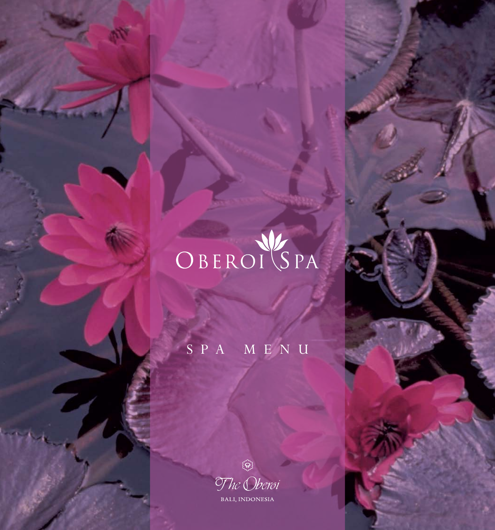## OBEROISPA

SPA MENU

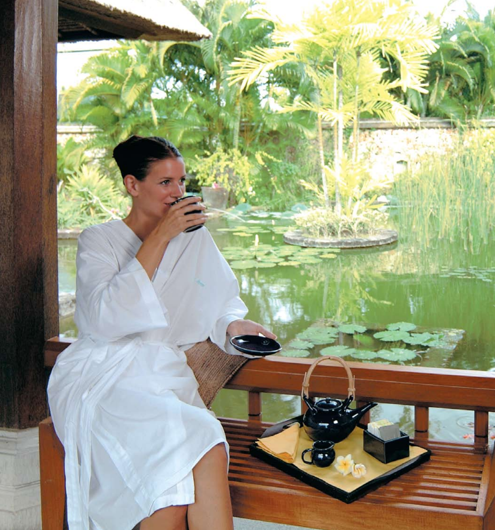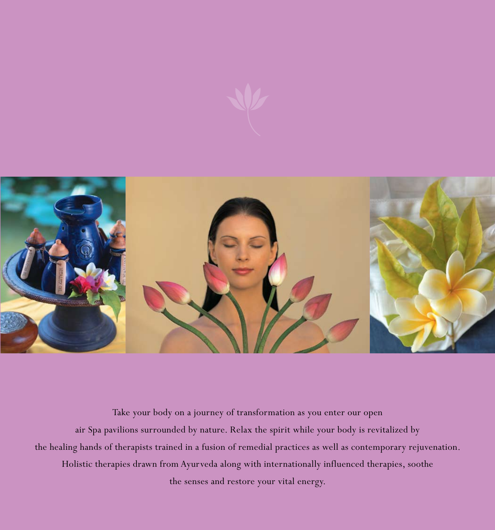

Take your body on a journey of transformation as you enter our open air Spa pavilions surrounded by nature. Relax the spirit while your body is revitalized by the healing hands of therapists trained in a fusion of remedial practices as well as contemporary rejuvenation. Holistic therapies drawn from Ayurveda along with internationally influenced therapies, soothe the senses and restore your vital energy.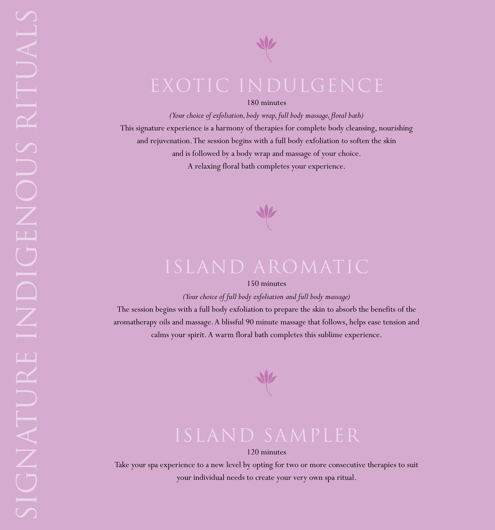

## 180 minutes

*(Your choice of exfoliation, body wrap, full body massage, floral bath)* This signature experience is a harmony of therapies for complete body cleansing, nourishing and rejuvenation. The session begins with a full body exfoliation to soften the skin and is followed by a body wrap and massage of your choice. A relaxing floral bath completes your experience.

## 150 minutes

*(Your choice of full body exfoliation and full body massage)*

The session begins with a full body exfoliation to prepare the skin to absorb the benefits of the aromatherapy oils and massage. A blissful 90 minute massage that follows, helps ease tension and calms your spirit. A warm floral bath completes this sublime experience.



120 minutes

Take your spa experience to a new level by opting for two or more consecutive therapies to suit your individual needs to create your very own spa ritual.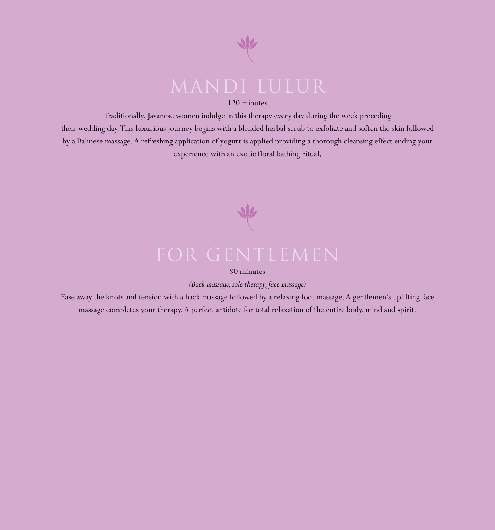

## 120 minutes

Traditionally, Javanese women indulge in this therapy every day during the week preceding their wedding day. This luxurious journey begins with a blended herbal scrub to exfoliate and soften the skin followed by a Balinese massage. A refreshing application of yogurt is applied providing a thorough cleansing effect ending your experience with an exotic floral bathing ritual.



90 minutes

*(Back massage, sole therapy, face massage)*

Ease away the knots and tension with a back massage followed by a relaxing foot massage. A gentlemen's uplifting face massage completes your therapy. A perfect antidote for total relaxation of the entire body, mind and spirit.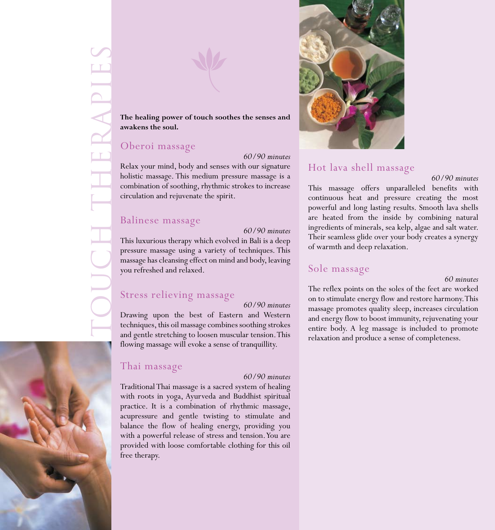## touch Therapies



**The healing power of touch soothes the senses and awakens the soul.**

## Oberoi massage

*60/90 minutes*

Relax your mind, body and senses with our signature holistic massage. This medium pressure massage is a combination of soothing, rhythmic strokes to increase circulation and rejuvenate the spirit.

## Balinese massage

*60/90 minutes*

This luxurious therapy which evolved in Bali is a deep pressure massage using a variety of techniques. This massage has cleansing effect on mind and body, leaving you refreshed and relaxed.

## Stress relieving massage

*60/90 minutes* 

Drawing upon the best of Eastern and Western techniques, this oil massage combines soothing strokes and gentle stretching to loosen muscular tension. This flowing massage will evoke a sense of tranquillity.

## Thai massage

*60/90 minutes* 

Traditional Thai massage is a sacred system of healing with roots in yoga, Ayurveda and Buddhist spiritual practice. It is a combination of rhythmic massage, acupressure and gentle twisting to stimulate and balance the flow of healing energy, providing you with a powerful release of stress and tension. You are provided with loose comfortable clothing for this oil free therapy.



## Hot lava shell massage

*60/90 minutes* 

This massage offers unparalleled benefits with continuous heat and pressure creating the most powerful and long lasting results. Smooth lava shells are heated from the inside by combining natural ingredients of minerals, sea kelp, algae and salt water. Their seamless glide over your body creates a synergy of warmth and deep relaxation.

## Sole massage

*60 minutes* 

The reflex points on the soles of the feet are worked on to stimulate energy flow and restore harmony. This massage promotes quality sleep, increases circulation and energy flow to boost immunity, rejuvenating your entire body. A leg massage is included to promote relaxation and produce a sense of completeness.

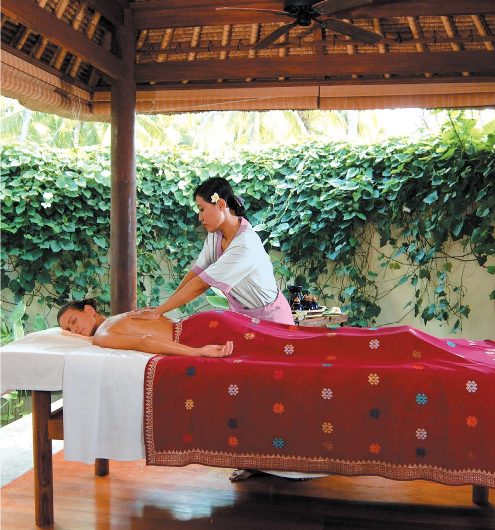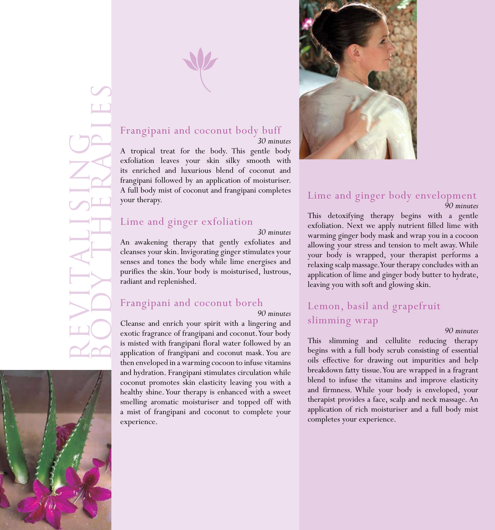

## *30 minutes*

Frangipani and coconut body buff<br>
30 minutes for the body. This gentle be exoficiation leaves your skin silky smooth with the site meriched and luxurious blend of coconut frangipani followed by an application of moisturing A tropical treat for the body. This gentle body exfoliation leaves your skin silky smooth with its enriched and luxurious blend of coconut and frangipani followed by an application of moisturiser. A full body mist of coconut and frangipani completes your therapy.

## Lime and ginger exfoliation

*30 minutes*

An awakening therapy that gently exfoliates and cleanses your skin. Invigorating ginger stimulates your senses and tones the body while lime energises and purifies the skin. Your body is moisturised, lustrous, radiant and replenished.

## Frangipani and coconut boreh

## *90 minutes*

Cleanse and enrich your spirit with a lingering and exotic fragrance of frangipani and coconut. Your body is misted with frangipani floral water followed by an application of frangipani and coconut mask. You are then enveloped in a warming cocoon to infuse vitamins and hydration. Frangipani stimulates circulation while coconut promotes skin elasticity leaving you with a healthy shine. Your therapy is enhanced with a sweet smelling aromatic moisturiser and topped off with a mist of frangipani and coconut to complete your experience.



## Lime and ginger body envelopment *90 minutes*

This detoxifying therapy begins with a gentle exfoliation. Next we apply nutrient filled lime with warming ginger body mask and wrap you in a cocoon allowing your stress and tension to melt away. While your body is wrapped, your therapist performs a relaxing scalp massage. Your therapy concludes with an application of lime and ginger body butter to hydrate, leaving you with soft and glowing skin.

## Lemon, basil and grapefruit slimming wrap

*90 minutes* 

This slimming and cellulite reducing therapy begins with a full body scrub consisting of essential oils effective for drawing out impurities and help breakdown fatty tissue. You are wrapped in a fragrant blend to infuse the vitamins and improve elasticity and firmness. While your body is enveloped, your therapist provides a face, scalp and neck massage. An application of rich moisturiser and a full body mist completes your experience.

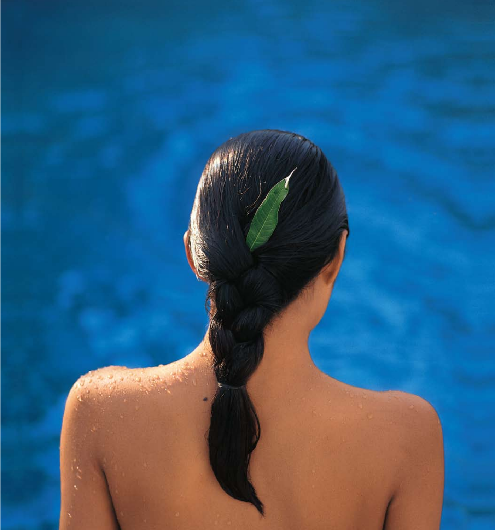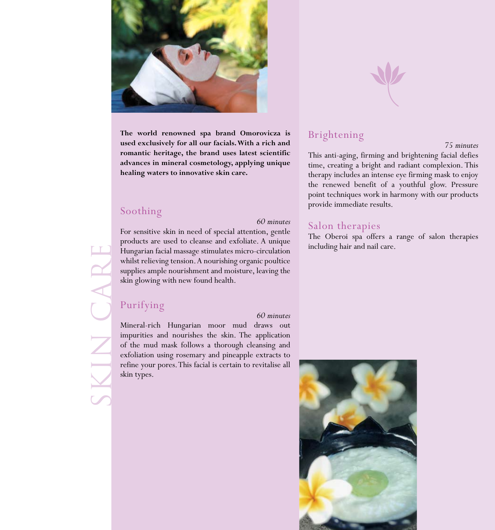

**The world renowned spa brand Omorovicza is used exclusively for all our facials. With a rich and romantic heritage, the brand uses latest scientific advances in mineral cosmetology, applying unique healing waters to innovative skin care.**

## Soothing

## *60 minutes*

For sensitive skin in need of special attention, gentle products are used to cleanse and exfoliate. A unique Hungarian facial massage stimulates micro-circulation whilst relieving tension. A nourishing organic poultice supplies ample nourishment and moisture, leaving the skin glowing with new found health.

## Purifying

## *60 minutes*

Mineral-rich Hungarian moor mud draws out impurities and nourishes the skin. The application of the mud mask follows a thorough cleansing and exfoliation using rosemary and pineapple extracts to refine your pores. This facial is certain to revitalise all skin types.

## Brightening

*75 minutes* 

This anti-aging, firming and brightening facial defies time, creating a bright and radiant complexion. This therapy includes an intense eye firming mask to enjoy the renewed benefit of a youthful glow. Pressure point techniques work in harmony with our products provide immediate results.

## Salon therapies

The Oberoi spa offers a range of salon therapies including hair and nail care.



## Skin Care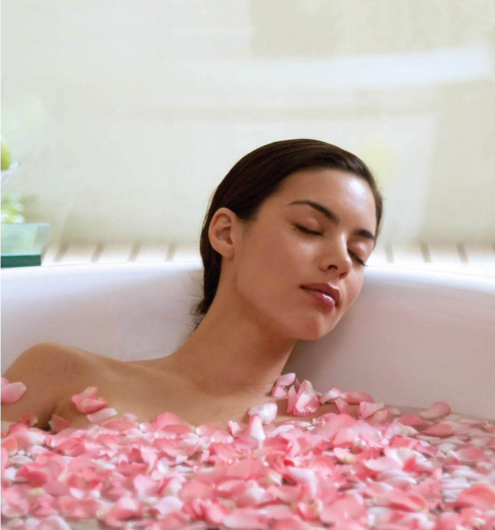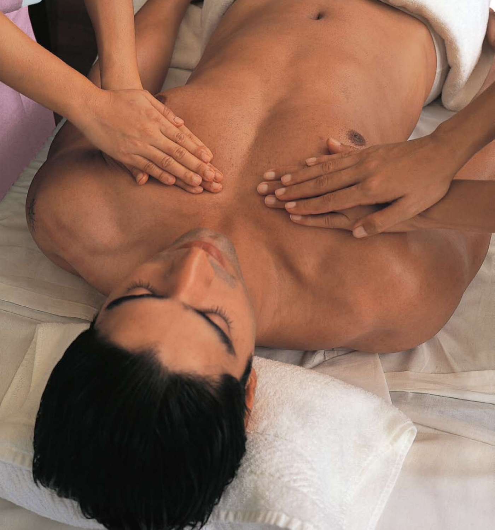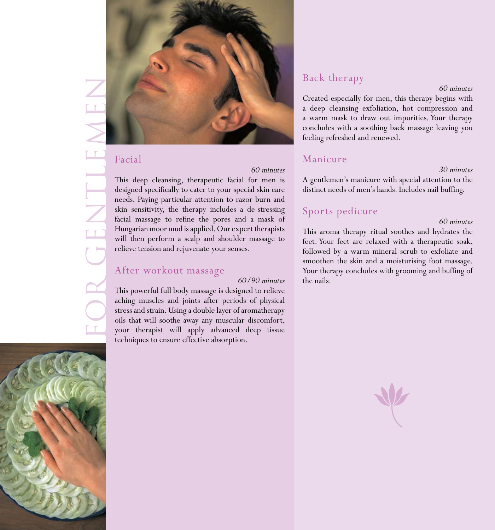## Facial<br>Form Facial<br>This designed<br>needs. P<br>skin sen<br>facial m<br>Hungari<br>will their<br>relieve t<br>After<br>This pov<br>aching r<br>stress an<br>oils that



## *60 minutes*

This deep cleansing, therapeutic facial for men is designed specifically to cater to your special skin care needs. Paying particular attention to razor burn and skin sensitivity, the therapy includes a de-stressing facial massage to refine the pores and a mask of Hungarian moor mud is applied. Our expert therapists will then perform a scalp and shoulder massage to relieve tension and rejuvenate your senses.

## After workout massage

*60/90 minutes*

This powerful full body massage is designed to relieve aching muscles and joints after periods of physical stress and strain. Using a double layer of aromatherapy oils that will soothe away any muscular discomfort, your therapist will apply advanced deep tissue techniques to ensure effective absorption.

## Back therapy

*60 minutes* 

Created especially for men, this therapy begins with a deep cleansing exfoliation, hot compression and a warm mask to draw out impurities. Your therapy concludes with a soothing back massage leaving you feeling refreshed and renewed.

## Manicure

*30 minutes* 

A gentlemen's manicure with special attention to the distinct needs of men's hands. Includes nail buffing.

## Sports pedicure

*60 minutes* 

This aroma therapy ritual soothes and hydrates the feet. Your feet are relaxed with a therapeutic soak, followed by a warm mineral scrub to exfoliate and smoothen the skin and a moisturising foot massage. Your therapy concludes with grooming and buffing of the nails.

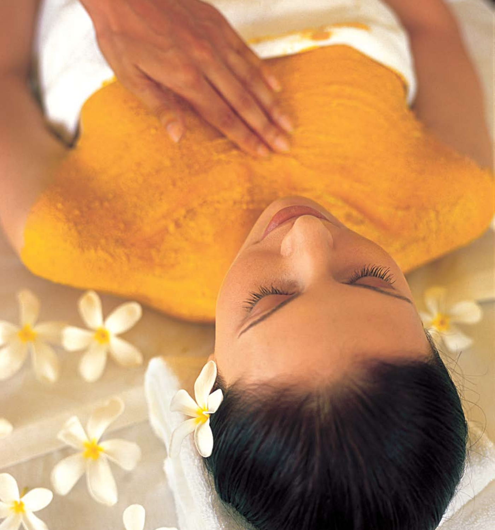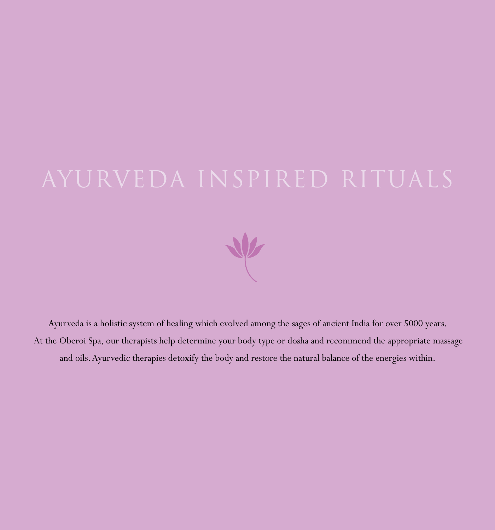

Ayurveda is a holistic system of healing which evolved among the sages of ancient India for over 5000 years. At the Oberoi Spa, our therapists help determine your body type or dosha and recommend the appropriate massage and oils. Ayurvedic therapies detoxify the body and restore the natural balance of the energies within.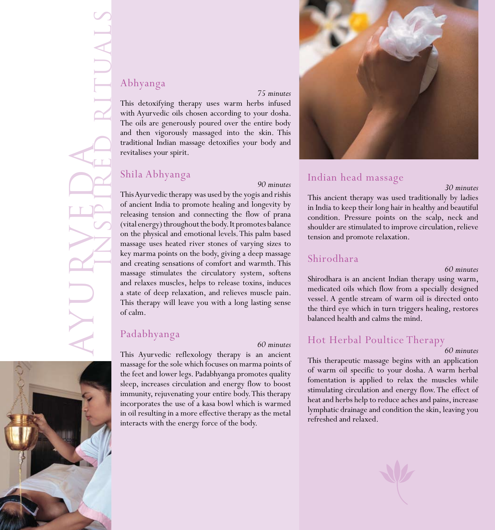# Abhyanga<br>
This detoxifyir<br>
with Ayurvedic<br>
The oils are ge<br>
and then vigo<br>
traditional Indi<br>
revitalises your<br>
Shila Abhy<br>
This Ayurvedic<br>
of ancient India<br>
relassing tensio<br>
(vital energy) the physical<br>
massage uses b<br>
ke

## *75 minutes*

This detoxifying therapy uses warm herbs infused with Ayurvedic oils chosen according to your dosha. The oils are generously poured over the entire body and then vigorously massaged into the skin. This traditional Indian massage detoxifies your body and revitalises your spirit.

## Shila Abhyanga

## *90 minutes*

This Ayurvedic therapy was used by the yogis and rishis of ancient India to promote healing and longevity by releasing tension and connecting the flow of prana (vital energy) throughout the body. It promotes balance on the physical and emotional levels. This palm based massage uses heated river stones of varying sizes to key marma points on the body, giving a deep massage and creating sensations of comfort and warmth. This massage stimulates the circulatory system, softens and relaxes muscles, helps to release toxins, induces a state of deep relaxation, and relieves muscle pain. This therapy will leave you with a long lasting sense of calm.

## Padabhyanga

## *60 minutes*

This Ayurvedic reflexology therapy is an ancient massage for the sole which focuses on marma points of the feet and lower legs. Padabhyanga promotes quality sleep, increases circulation and energy flow to boost immunity, rejuvenating your entire body. This therapy incorporates the use of a kasa bowl which is warmed in oil resulting in a more effective therapy as the metal interacts with the energy force of the body.



## Indian head massage

*30 minutes* 

This ancient therapy was used traditionally by ladies in India to keep their long hair in healthy and beautiful condition. Pressure points on the scalp, neck and shoulder are stimulated to improve circulation, relieve tension and promote relaxation.

## Shirodhara

*60 minutes* 

Shirodhara is an ancient Indian therapy using warm, medicated oils which flow from a specially designed vessel. A gentle stream of warm oil is directed onto the third eye which in turn triggers healing, restores balanced health and calms the mind.

## Hot Herbal Poultice Therapy

## *60 minutes*

This therapeutic massage begins with an application of warm oil specific to your dosha. A warm herbal fomentation is applied to relax the muscles while stimulating circulation and energy flow. The effect of heat and herbs help to reduce aches and pains, increase lymphatic drainage and condition the skin, leaving you refreshed and relaxed.

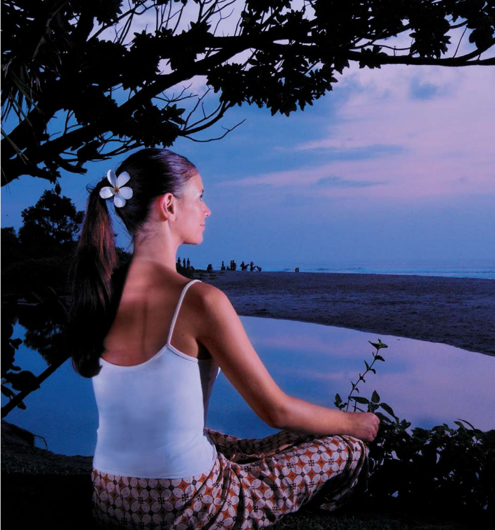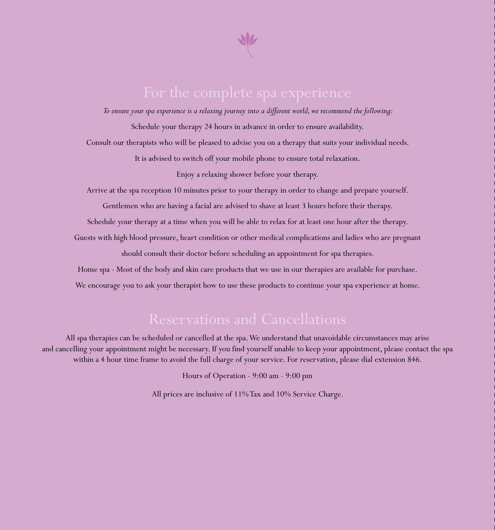

*To ensure your spa experience is a relaxing journey into a different world, we recommend the following:*

Schedule your therapy 24 hours in advance in order to ensure availability.

Consult our therapists who will be pleased to advise you on a therapy that suits your individual needs.

It is advised to switch off your mobile phone to ensure total relaxation.

Enjoy a relaxing shower before your therapy.

Arrive at the spa reception 10 minutes prior to your therapy in order to change and prepare yourself.

Gentlemen who are having a facial are advised to shave at least 3 hours before their therapy.

Schedule your therapy at a time when you will be able to relax for at least one hour after the therapy.

Guests with high blood pressure, heart condition or other medical complications and ladies who are pregnant

should consult their doctor before scheduling an appointment for spa therapies.

Home spa - Most of the body and skin care products that we use in our therapies are available for purchase.

We encourage you to ask your therapist how to use these products to continue your spa experience at home.

All spa therapies can be scheduled or cancelled at the spa. We understand that unavoidable circumstances may arise and cancelling your appointment might be necessary. If you find yourself unable to keep your appointment, please contact the spa within a 4 hour time frame to avoid the full charge of your service. For reservation, please dial extension 846.

Hours of Operation - 9:00 am - 9:00 pm

All prices are inclusive of 11% Tax and 10% Service Charge.